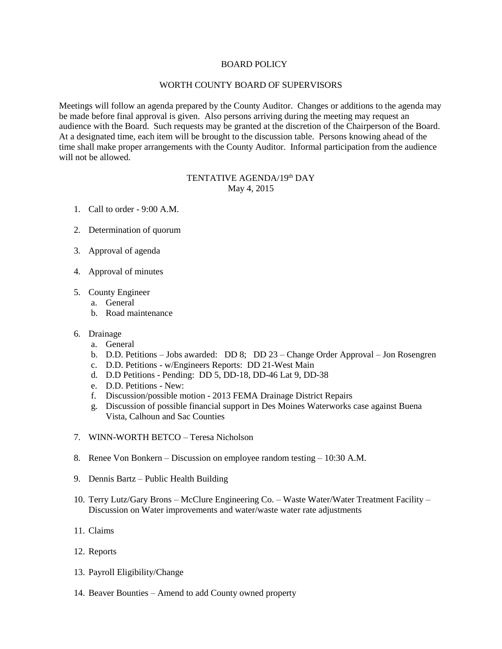## BOARD POLICY

## WORTH COUNTY BOARD OF SUPERVISORS

Meetings will follow an agenda prepared by the County Auditor. Changes or additions to the agenda may be made before final approval is given. Also persons arriving during the meeting may request an audience with the Board. Such requests may be granted at the discretion of the Chairperson of the Board. At a designated time, each item will be brought to the discussion table. Persons knowing ahead of the time shall make proper arrangements with the County Auditor. Informal participation from the audience will not be allowed.

## TENTATIVE AGENDA/19<sup>th</sup> DAY May 4, 2015

- 1. Call to order 9:00 A.M.
- 2. Determination of quorum
- 3. Approval of agenda
- 4. Approval of minutes
- 5. County Engineer
	- a. General
	- b. Road maintenance
- 6. Drainage
	- a. General
	- b. D.D. Petitions Jobs awarded: DD 8; DD 23 Change Order Approval Jon Rosengren
	- c. D.D. Petitions w/Engineers Reports: DD 21-West Main
	- d. D.D Petitions Pending: DD 5, DD-18, DD-46 Lat 9, DD-38
	- e. D.D. Petitions New:
	- f. Discussion/possible motion 2013 FEMA Drainage District Repairs
	- g. Discussion of possible financial support in Des Moines Waterworks case against Buena Vista, Calhoun and Sac Counties
- 7. WINN-WORTH BETCO Teresa Nicholson
- 8. Renee Von Bonkern Discussion on employee random testing 10:30 A.M.
- 9. Dennis Bartz Public Health Building
- 10. Terry Lutz/Gary Brons McClure Engineering Co. Waste Water/Water Treatment Facility Discussion on Water improvements and water/waste water rate adjustments
- 11. Claims
- 12. Reports
- 13. Payroll Eligibility/Change
- 14. Beaver Bounties Amend to add County owned property